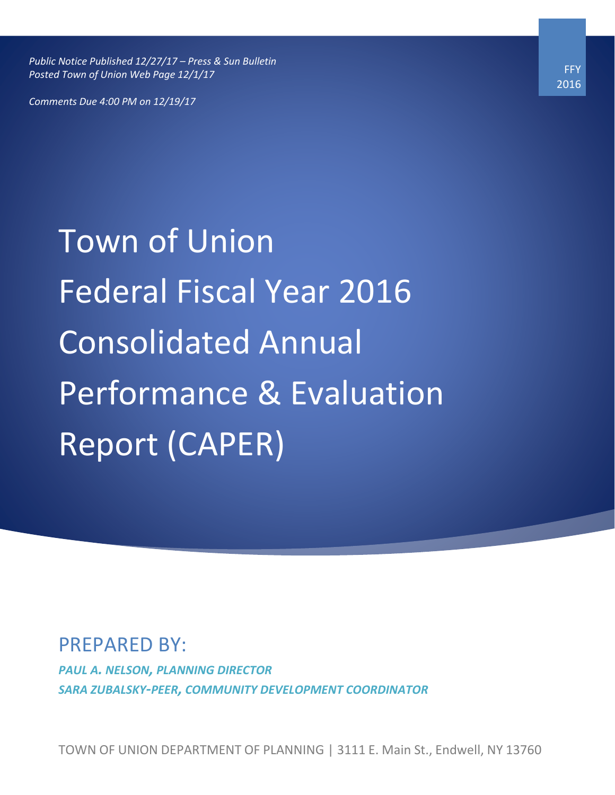*Public Notice Published 12/27/17 – Press & Sun Bulletin Posted Town of Union Web Page 12/1/17*

*Comments Due 4:00 PM on 12/19/17*

Town of Union Federal Fiscal Year 2016 Consolidated Annual Performance & Evaluation Report (CAPER)

# PREPARED BY:

*PAUL A. NELSON, PLANNING DIRECTOR SARA ZUBALSKY-PEER, COMMUNITY DEVELOPMENT COORDINATOR*

TOWN OF UNION DEPARTMENT OF PLANNING | 3111 E. Main St., Endwell, NY 13760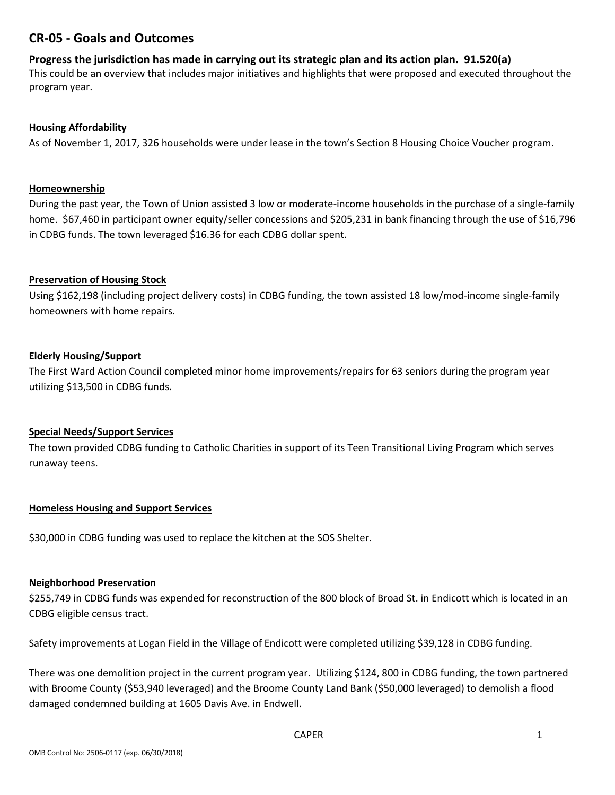## **CR-05 - Goals and Outcomes**

#### **Progress the jurisdiction has made in carrying out its strategic plan and its action plan. 91.520(a)**

This could be an overview that includes major initiatives and highlights that were proposed and executed throughout the program year.

#### **Housing Affordability**

As of November 1, 2017, 326 households were under lease in the town's Section 8 Housing Choice Voucher program.

#### **Homeownership**

During the past year, the Town of Union assisted 3 low or moderate-income households in the purchase of a single-family home. \$67,460 in participant owner equity/seller concessions and \$205,231 in bank financing through the use of \$16,796 in CDBG funds. The town leveraged \$16.36 for each CDBG dollar spent.

#### **Preservation of Housing Stock**

Using \$162,198 (including project delivery costs) in CDBG funding, the town assisted 18 low/mod-income single-family homeowners with home repairs.

#### **Elderly Housing/Support**

The First Ward Action Council completed minor home improvements/repairs for 63 seniors during the program year utilizing \$13,500 in CDBG funds.

#### **Special Needs/Support Services**

The town provided CDBG funding to Catholic Charities in support of its Teen Transitional Living Program which serves runaway teens.

#### **Homeless Housing and Support Services**

\$30,000 in CDBG funding was used to replace the kitchen at the SOS Shelter.

#### **Neighborhood Preservation**

\$255,749 in CDBG funds was expended for reconstruction of the 800 block of Broad St. in Endicott which is located in an CDBG eligible census tract.

Safety improvements at Logan Field in the Village of Endicott were completed utilizing \$39,128 in CDBG funding.

There was one demolition project in the current program year. Utilizing \$124, 800 in CDBG funding, the town partnered with Broome County (\$53,940 leveraged) and the Broome County Land Bank (\$50,000 leveraged) to demolish a flood damaged condemned building at 1605 Davis Ave. in Endwell.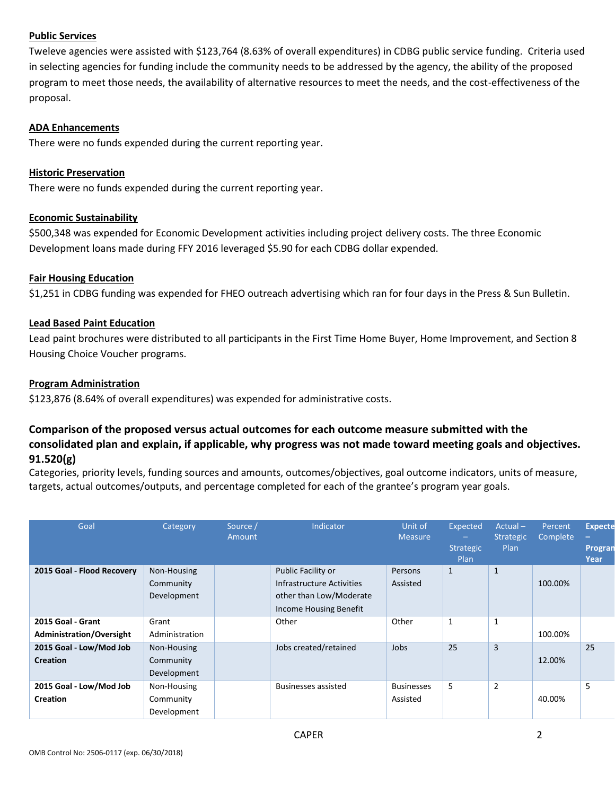#### **Public Services**

Tweleve agencies were assisted with \$123,764 (8.63% of overall expenditures) in CDBG public service funding. Criteria used in selecting agencies for funding include the community needs to be addressed by the agency, the ability of the proposed program to meet those needs, the availability of alternative resources to meet the needs, and the cost-effectiveness of the proposal.

#### **ADA Enhancements**

There were no funds expended during the current reporting year.

#### **Historic Preservation**

There were no funds expended during the current reporting year.

#### **Economic Sustainability**

\$500,348 was expended for Economic Development activities including project delivery costs. The three Economic Development loans made during FFY 2016 leveraged \$5.90 for each CDBG dollar expended.

#### **Fair Housing Education**

\$1,251 in CDBG funding was expended for FHEO outreach advertising which ran for four days in the Press & Sun Bulletin.

#### **Lead Based Paint Education**

Lead paint brochures were distributed to all participants in the First Time Home Buyer, Home Improvement, and Section 8 Housing Choice Voucher programs.

#### **Program Administration**

\$123,876 (8.64% of overall expenditures) was expended for administrative costs.

### **Comparison of the proposed versus actual outcomes for each outcome measure submitted with the consolidated plan and explain, if applicable, why progress was not made toward meeting goals and objectives. 91.520(g)**

Categories, priority levels, funding sources and amounts, outcomes/objectives, goal outcome indicators, units of measure, targets, actual outcomes/outputs, and percentage completed for each of the grantee's program year goals.

| Goal                                          | Category                                | Source /<br>Amount | Indicator                                                                                            | Unit of<br><b>Measure</b>     | Expected<br>-<br><b>Strategic</b><br>Plan | $Actual -$<br><b>Strategic</b><br>Plan | Percent<br>Complete | <b>Expecte</b><br>-<br>Progran<br><b>Year</b> |
|-----------------------------------------------|-----------------------------------------|--------------------|------------------------------------------------------------------------------------------------------|-------------------------------|-------------------------------------------|----------------------------------------|---------------------|-----------------------------------------------|
| 2015 Goal - Flood Recovery                    | Non-Housing<br>Community<br>Development |                    | Public Facility or<br>Infrastructure Activities<br>other than Low/Moderate<br>Income Housing Benefit | Persons<br>Assisted           | 1                                         | $\mathbf{1}$                           | 100.00%             |                                               |
| 2015 Goal - Grant<br>Administration/Oversight | Grant<br>Administration                 |                    | Other                                                                                                | Other                         | 1                                         | 1                                      | 100.00%             |                                               |
| 2015 Goal - Low/Mod Job<br><b>Creation</b>    | Non-Housing<br>Community<br>Development |                    | Jobs created/retained                                                                                | Jobs                          | 25                                        | $\overline{3}$                         | 12.00%              | 25                                            |
| 2015 Goal - Low/Mod Job<br><b>Creation</b>    | Non-Housing<br>Community<br>Development |                    | <b>Businesses assisted</b>                                                                           | <b>Businesses</b><br>Assisted | 5                                         | $\overline{2}$                         | 40.00%              | 5                                             |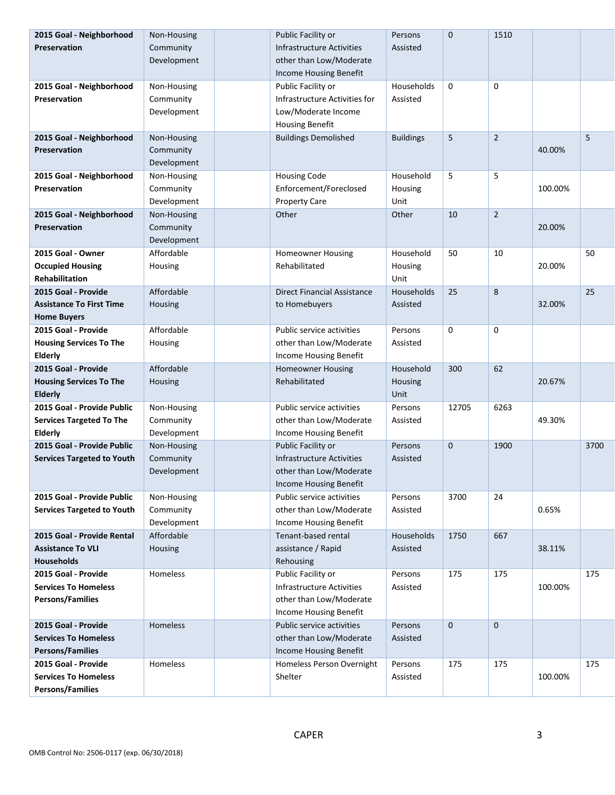| 2015 Goal - Neighborhood                               | Non-Housing | Public Facility or                 | Persons          | $\mathbf 0$ | 1510           |         |      |
|--------------------------------------------------------|-------------|------------------------------------|------------------|-------------|----------------|---------|------|
| Preservation                                           | Community   | <b>Infrastructure Activities</b>   | Assisted         |             |                |         |      |
|                                                        | Development | other than Low/Moderate            |                  |             |                |         |      |
|                                                        |             | Income Housing Benefit             |                  |             |                |         |      |
| 2015 Goal - Neighborhood                               | Non-Housing | Public Facility or                 | Households       | 0           | $\mathbf 0$    |         |      |
| Preservation                                           | Community   | Infrastructure Activities for      | Assisted         |             |                |         |      |
|                                                        | Development | Low/Moderate Income                |                  |             |                |         |      |
|                                                        |             | <b>Housing Benefit</b>             |                  |             |                |         |      |
| 2015 Goal - Neighborhood                               | Non-Housing | <b>Buildings Demolished</b>        | <b>Buildings</b> | 5           | $\overline{2}$ |         | 5    |
| Preservation                                           | Community   |                                    |                  |             |                | 40.00%  |      |
|                                                        | Development |                                    |                  |             |                |         |      |
| 2015 Goal - Neighborhood                               | Non-Housing | <b>Housing Code</b>                | Household        | 5           | 5              |         |      |
| <b>Preservation</b>                                    | Community   | Enforcement/Foreclosed             | Housing          |             |                | 100.00% |      |
|                                                        | Development | <b>Property Care</b>               | Unit             |             |                |         |      |
| 2015 Goal - Neighborhood                               | Non-Housing | Other                              | Other            | 10          | $\overline{2}$ |         |      |
| <b>Preservation</b>                                    | Community   |                                    |                  |             |                | 20.00%  |      |
|                                                        | Development |                                    |                  |             |                |         |      |
| 2015 Goal - Owner                                      | Affordable  | <b>Homeowner Housing</b>           | Household        | 50          | 10             |         | 50   |
| <b>Occupied Housing</b>                                | Housing     | Rehabilitated                      | Housing          |             |                | 20.00%  |      |
| <b>Rehabilitation</b>                                  |             |                                    | Unit             |             |                |         |      |
| 2015 Goal - Provide                                    | Affordable  | <b>Direct Financial Assistance</b> | Households       | 25          | 8              |         | 25   |
| <b>Assistance To First Time</b>                        | Housing     | to Homebuyers                      | Assisted         |             |                | 32.00%  |      |
| <b>Home Buyers</b>                                     |             |                                    |                  |             |                |         |      |
| 2015 Goal - Provide                                    | Affordable  | Public service activities          | Persons          | 0           | $\mathbf 0$    |         |      |
| <b>Housing Services To The</b>                         | Housing     | other than Low/Moderate            | Assisted         |             |                |         |      |
| Elderly                                                |             | Income Housing Benefit             |                  |             |                |         |      |
| 2015 Goal - Provide                                    | Affordable  | <b>Homeowner Housing</b>           | Household        | 300         | 62             |         |      |
| <b>Housing Services To The</b>                         | Housing     | Rehabilitated                      | Housing          |             |                | 20.67%  |      |
| <b>Elderly</b>                                         |             |                                    | Unit             |             |                |         |      |
| 2015 Goal - Provide Public                             | Non-Housing | Public service activities          | Persons          | 12705       | 6263           |         |      |
| <b>Services Targeted To The</b>                        | Community   | other than Low/Moderate            | Assisted         |             |                | 49.30%  |      |
| Elderly                                                | Development | Income Housing Benefit             |                  |             |                |         |      |
| 2015 Goal - Provide Public                             | Non-Housing | Public Facility or                 | Persons          | $\mathbf 0$ | 1900           |         | 3700 |
| <b>Services Targeted to Youth</b>                      | Community   | Infrastructure Activities          | Assisted         |             |                |         |      |
|                                                        | Development | other than Low/Moderate            |                  |             |                |         |      |
|                                                        |             | Income Housing Benefit             |                  |             |                |         |      |
| 2015 Goal - Provide Public                             | Non-Housing | Public service activities          | Persons          | 3700        | 24             |         |      |
| <b>Services Targeted to Youth</b>                      | Community   | other than Low/Moderate            | Assisted         |             |                | 0.65%   |      |
|                                                        |             |                                    |                  |             |                |         |      |
|                                                        | Development | Income Housing Benefit             |                  |             |                |         |      |
| 2015 Goal - Provide Rental                             | Affordable  | Tenant-based rental                | Households       | 1750        | 667            |         |      |
| <b>Assistance To VLI</b>                               | Housing     | assistance / Rapid                 | Assisted         |             |                | 38.11%  |      |
| <b>Households</b>                                      |             | Rehousing                          |                  |             |                |         |      |
| 2015 Goal - Provide                                    | Homeless    | Public Facility or                 | Persons          | 175         | 175            |         | 175  |
| <b>Services To Homeless</b>                            |             | Infrastructure Activities          | Assisted         |             |                | 100.00% |      |
| <b>Persons/Families</b>                                |             | other than Low/Moderate            |                  |             |                |         |      |
|                                                        |             | Income Housing Benefit             |                  |             |                |         |      |
| 2015 Goal - Provide                                    | Homeless    | Public service activities          | Persons          | $\mathbf 0$ | $\mathbf 0$    |         |      |
| <b>Services To Homeless</b>                            |             | other than Low/Moderate            | Assisted         |             |                |         |      |
| <b>Persons/Families</b>                                |             | Income Housing Benefit             |                  |             |                |         |      |
| 2015 Goal - Provide                                    | Homeless    | Homeless Person Overnight          | Persons          | 175         | 175            |         | 175  |
| <b>Services To Homeless</b><br><b>Persons/Families</b> |             | Shelter                            | Assisted         |             |                | 100.00% |      |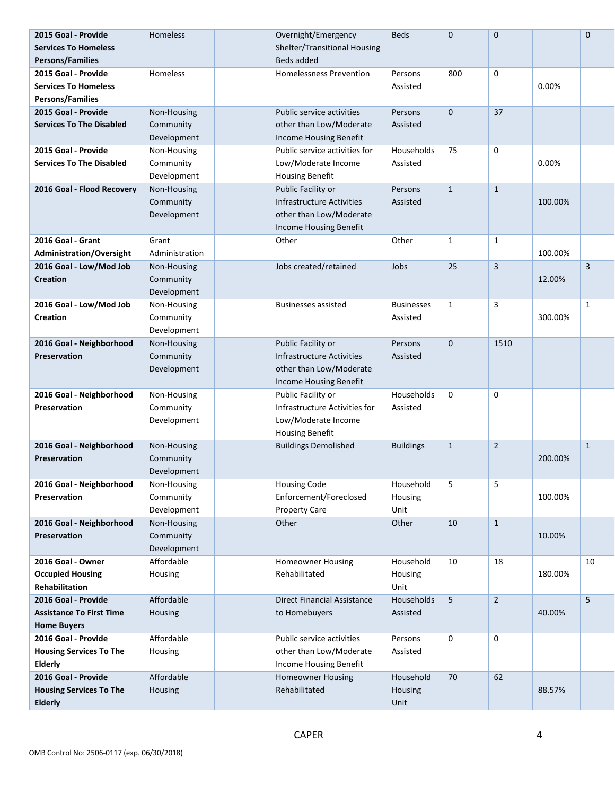| 2015 Goal - Provide             | <b>Homeless</b> | Overnight/Emergency                | <b>Beds</b>       | $\mathbf 0$      | $\pmb{0}$      |         | $\mathbf 0$  |
|---------------------------------|-----------------|------------------------------------|-------------------|------------------|----------------|---------|--------------|
| <b>Services To Homeless</b>     |                 | Shelter/Transitional Housing       |                   |                  |                |         |              |
| Persons/Families                |                 | Beds added                         |                   |                  |                |         |              |
| 2015 Goal - Provide             | Homeless        | <b>Homelessness Prevention</b>     | Persons           | 800              | 0              |         |              |
| <b>Services To Homeless</b>     |                 |                                    | Assisted          |                  |                | 0.00%   |              |
| Persons/Families                |                 |                                    |                   |                  |                |         |              |
| 2015 Goal - Provide             | Non-Housing     | Public service activities          | Persons           | $\mathbf 0$      | 37             |         |              |
| <b>Services To The Disabled</b> | Community       | other than Low/Moderate            | Assisted          |                  |                |         |              |
|                                 | Development     | Income Housing Benefit             |                   |                  |                |         |              |
| 2015 Goal - Provide             | Non-Housing     | Public service activities for      | Households        | 75               | 0              |         |              |
| <b>Services To The Disabled</b> | Community       | Low/Moderate Income                | Assisted          |                  |                | 0.00%   |              |
|                                 | Development     | <b>Housing Benefit</b>             |                   |                  |                |         |              |
| 2016 Goal - Flood Recovery      | Non-Housing     | Public Facility or                 | Persons           | $\mathbf{1}$     | $\mathbf{1}$   |         |              |
|                                 | Community       | Infrastructure Activities          | Assisted          |                  |                | 100.00% |              |
|                                 | Development     | other than Low/Moderate            |                   |                  |                |         |              |
|                                 |                 | Income Housing Benefit             |                   |                  |                |         |              |
| 2016 Goal - Grant               | Grant           | Other                              | Other             | $\mathbf{1}$     | $\mathbf{1}$   |         |              |
| <b>Administration/Oversight</b> | Administration  |                                    |                   |                  |                | 100.00% |              |
| 2016 Goal - Low/Mod Job         | Non-Housing     | Jobs created/retained              | Jobs              | 25               | $\mathbf{3}$   |         | $\mathbf{3}$ |
| <b>Creation</b>                 | Community       |                                    |                   |                  |                | 12.00%  |              |
|                                 | Development     |                                    |                   |                  |                |         |              |
| 2016 Goal - Low/Mod Job         | Non-Housing     | <b>Businesses assisted</b>         | <b>Businesses</b> | $\mathbf{1}$     | 3              |         | 1            |
| <b>Creation</b>                 | Community       |                                    | Assisted          |                  |                | 300.00% |              |
|                                 | Development     |                                    |                   |                  |                |         |              |
| 2016 Goal - Neighborhood        | Non-Housing     | Public Facility or                 | Persons           | $\mathbf 0$      | 1510           |         |              |
| Preservation                    | Community       | <b>Infrastructure Activities</b>   | Assisted          |                  |                |         |              |
|                                 | Development     | other than Low/Moderate            |                   |                  |                |         |              |
|                                 |                 | Income Housing Benefit             |                   |                  |                |         |              |
| 2016 Goal - Neighborhood        | Non-Housing     | Public Facility or                 | Households        | $\boldsymbol{0}$ | 0              |         |              |
| <b>Preservation</b>             | Community       | Infrastructure Activities for      | Assisted          |                  |                |         |              |
|                                 | Development     | Low/Moderate Income                |                   |                  |                |         |              |
|                                 |                 | <b>Housing Benefit</b>             |                   |                  |                |         |              |
| 2016 Goal - Neighborhood        | Non-Housing     | <b>Buildings Demolished</b>        | <b>Buildings</b>  | $\mathbf{1}$     | $\overline{2}$ |         | $\mathbf{1}$ |
| Preservation                    | Community       |                                    |                   |                  |                | 200.00% |              |
|                                 | Development     |                                    |                   |                  |                |         |              |
| 2016 Goal - Neighborhood        | Non-Housing     | <b>Housing Code</b>                | Household         | 5                | 5              |         |              |
| <b>Preservation</b>             | Community       | Enforcement/Foreclosed             | Housing           |                  |                | 100.00% |              |
|                                 | Development     | <b>Property Care</b>               | Unit              |                  |                |         |              |
| 2016 Goal - Neighborhood        | Non-Housing     | Other                              | Other             | 10               | $\mathbf{1}$   |         |              |
| Preservation                    | Community       |                                    |                   |                  |                | 10.00%  |              |
|                                 | Development     |                                    |                   |                  |                |         |              |
| 2016 Goal - Owner               | Affordable      | <b>Homeowner Housing</b>           | Household         | 10               | 18             |         | 10           |
| <b>Occupied Housing</b>         | Housing         | Rehabilitated                      | Housing           |                  |                | 180.00% |              |
| Rehabilitation                  |                 |                                    | Unit              |                  |                |         |              |
| 2016 Goal - Provide             | Affordable      | <b>Direct Financial Assistance</b> | Households        | 5                | $\overline{2}$ |         | 5            |
| <b>Assistance To First Time</b> | Housing         | to Homebuyers                      | Assisted          |                  |                | 40.00%  |              |
| <b>Home Buyers</b>              |                 |                                    |                   |                  |                |         |              |
| 2016 Goal - Provide             | Affordable      | Public service activities          | Persons           | $\mathbf 0$      | 0              |         |              |
| <b>Housing Services To The</b>  | Housing         | other than Low/Moderate            | Assisted          |                  |                |         |              |
| <b>Elderly</b>                  |                 | Income Housing Benefit             |                   |                  |                |         |              |
| 2016 Goal - Provide             | Affordable      | <b>Homeowner Housing</b>           | Household         | 70               | 62             |         |              |
| <b>Housing Services To The</b>  | Housing         | Rehabilitated                      | Housing           |                  |                | 88.57%  |              |
| <b>Elderly</b>                  |                 |                                    | Unit              |                  |                |         |              |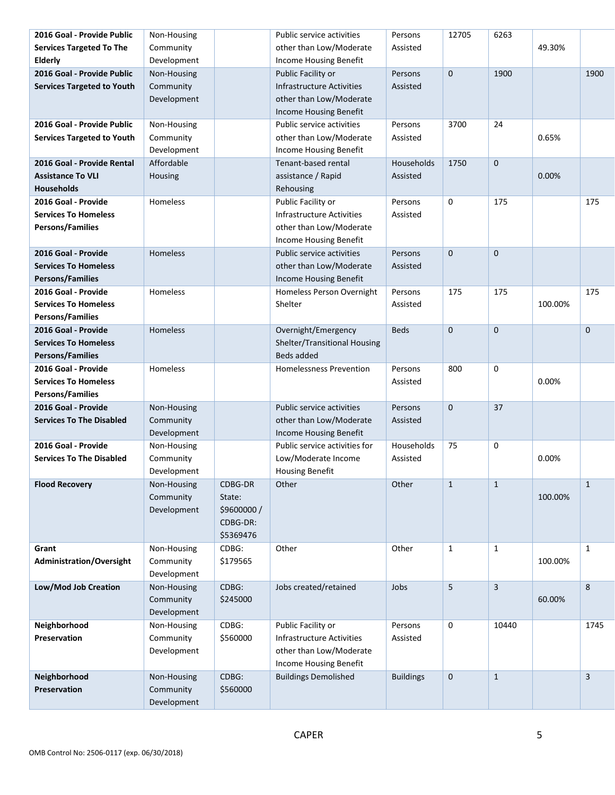| 2016 Goal - Provide Public                     | Non-Housing     |             | Public service activities                         | Persons          | 12705        | 6263         |         |                |
|------------------------------------------------|-----------------|-------------|---------------------------------------------------|------------------|--------------|--------------|---------|----------------|
| <b>Services Targeted To The</b>                | Community       |             | other than Low/Moderate                           | Assisted         |              |              | 49.30%  |                |
| <b>Elderly</b>                                 | Development     |             | Income Housing Benefit                            |                  |              |              |         |                |
| 2016 Goal - Provide Public                     | Non-Housing     |             | Public Facility or                                | Persons          | $\mathbf 0$  | 1900         |         | 1900           |
| <b>Services Targeted to Youth</b>              | Community       |             | <b>Infrastructure Activities</b>                  | Assisted         |              |              |         |                |
|                                                | Development     |             | other than Low/Moderate                           |                  |              |              |         |                |
|                                                |                 |             | Income Housing Benefit                            |                  |              |              |         |                |
| 2016 Goal - Provide Public                     | Non-Housing     |             | Public service activities                         | Persons          | 3700         | 24           |         |                |
| <b>Services Targeted to Youth</b>              | Community       |             | other than Low/Moderate                           | Assisted         |              |              | 0.65%   |                |
|                                                | Development     |             | Income Housing Benefit                            |                  |              |              |         |                |
| 2016 Goal - Provide Rental                     | Affordable      |             | Tenant-based rental                               | Households       | 1750         | $\mathbf{0}$ |         |                |
| <b>Assistance To VLI</b>                       | Housing         |             | assistance / Rapid                                | Assisted         |              |              | 0.00%   |                |
| <b>Households</b>                              |                 |             | Rehousing                                         |                  |              |              |         |                |
| 2016 Goal - Provide                            | Homeless        |             | Public Facility or                                | Persons          | 0            | 175          |         | 175            |
| <b>Services To Homeless</b>                    |                 |             | Infrastructure Activities                         | Assisted         |              |              |         |                |
| <b>Persons/Families</b>                        |                 |             | other than Low/Moderate                           |                  |              |              |         |                |
|                                                |                 |             | Income Housing Benefit                            |                  |              |              |         |                |
| 2016 Goal - Provide                            | <b>Homeless</b> |             | Public service activities                         | Persons          | $\mathbf 0$  | $\mathbf 0$  |         |                |
| <b>Services To Homeless</b>                    |                 |             | other than Low/Moderate                           | Assisted         |              |              |         |                |
| <b>Persons/Families</b>                        |                 |             | Income Housing Benefit                            |                  |              |              |         |                |
| 2016 Goal - Provide                            | Homeless        |             | Homeless Person Overnight                         | Persons          | 175          | 175          |         | 175            |
| <b>Services To Homeless</b>                    |                 |             | Shelter                                           | Assisted         |              |              | 100.00% |                |
| <b>Persons/Families</b>                        |                 |             |                                                   |                  |              |              |         |                |
| 2016 Goal - Provide                            | Homeless        |             | Overnight/Emergency                               | <b>Beds</b>      | $\mathbf 0$  | $\mathbf 0$  |         | $\mathbf{0}$   |
| <b>Services To Homeless</b>                    |                 |             |                                                   |                  |              |              |         |                |
|                                                |                 |             | Shelter/Transitional Housing<br><b>Beds added</b> |                  |              |              |         |                |
| <b>Persons/Families</b><br>2016 Goal - Provide |                 |             |                                                   |                  |              |              |         |                |
| <b>Services To Homeless</b>                    | Homeless        |             | <b>Homelessness Prevention</b>                    | Persons          | 800          | 0            | 0.00%   |                |
|                                                |                 |             |                                                   | Assisted         |              |              |         |                |
| <b>Persons/Families</b>                        |                 |             |                                                   |                  |              |              |         |                |
| 2016 Goal - Provide                            | Non-Housing     |             | Public service activities                         | Persons          | $\mathbf 0$  | 37           |         |                |
| <b>Services To The Disabled</b>                | Community       |             | other than Low/Moderate                           | Assisted         |              |              |         |                |
|                                                | Development     |             | Income Housing Benefit                            |                  |              |              |         |                |
| 2016 Goal - Provide                            | Non-Housing     |             | Public service activities for                     | Households       | 75           | 0            |         |                |
| <b>Services To The Disabled</b>                | Community       |             | Low/Moderate Income                               | Assisted         |              |              | 0.00%   |                |
|                                                | Development     |             | <b>Housing Benefit</b>                            |                  |              |              |         |                |
| <b>Flood Recovery</b>                          | Non-Housing     | CDBG-DR     | Other                                             | Other            | $\mathbf{1}$ | $\mathbf{1}$ |         | $\mathbf{1}$   |
|                                                | Community       | State:      |                                                   |                  |              |              | 100.00% |                |
|                                                | Development     | \$9600000 / |                                                   |                  |              |              |         |                |
|                                                |                 | CDBG-DR:    |                                                   |                  |              |              |         |                |
|                                                |                 | \$5369476   |                                                   |                  |              |              |         |                |
| Grant                                          | Non-Housing     | CDBG:       | Other                                             | Other            | $\mathbf{1}$ | $\mathbf{1}$ |         | $\mathbf{1}$   |
| <b>Administration/Oversight</b>                | Community       | \$179565    |                                                   |                  |              |              | 100.00% |                |
|                                                | Development     |             |                                                   |                  |              |              |         |                |
| Low/Mod Job Creation                           | Non-Housing     | CDBG:       | Jobs created/retained                             | Jobs             | 5            | $\mathbf{3}$ |         | 8              |
|                                                | Community       | \$245000    |                                                   |                  |              |              | 60.00%  |                |
|                                                | Development     |             |                                                   |                  |              |              |         |                |
| Neighborhood                                   | Non-Housing     | CDBG:       | Public Facility or                                | Persons          | 0            | 10440        |         | 1745           |
| Preservation                                   | Community       | \$560000    | Infrastructure Activities                         | Assisted         |              |              |         |                |
|                                                | Development     |             | other than Low/Moderate                           |                  |              |              |         |                |
|                                                |                 |             | Income Housing Benefit                            |                  |              |              |         |                |
| Neighborhood                                   | Non-Housing     | CDBG:       | <b>Buildings Demolished</b>                       | <b>Buildings</b> | $\mathbf 0$  | $\mathbf{1}$ |         | $\overline{3}$ |
| Preservation                                   | Community       | \$560000    |                                                   |                  |              |              |         |                |
|                                                | Development     |             |                                                   |                  |              |              |         |                |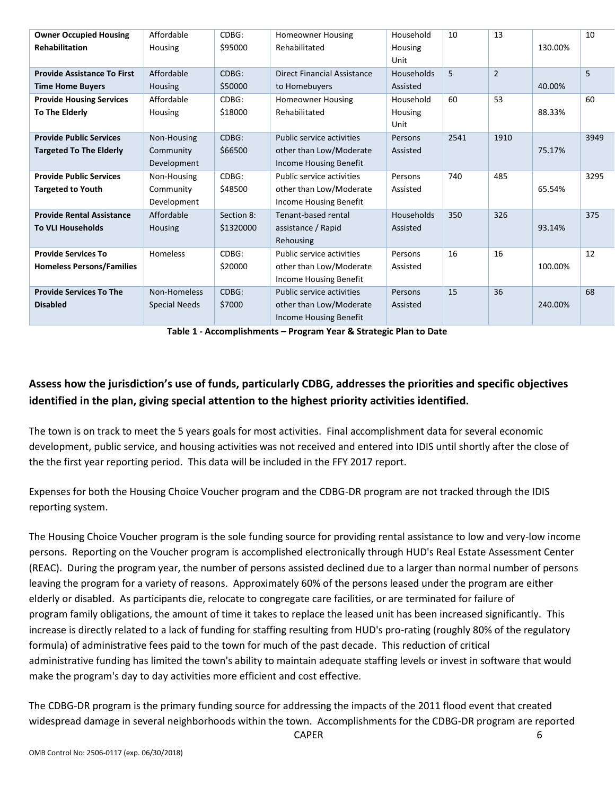| <b>Owner Occupied Housing</b>      | Affordable           | CDBG:      | <b>Homeowner Housing</b>           | Household         | 10   | 13             |         | 10   |
|------------------------------------|----------------------|------------|------------------------------------|-------------------|------|----------------|---------|------|
| <b>Rehabilitation</b>              | Housing              | \$95000    | Rehabilitated                      | <b>Housing</b>    |      |                | 130.00% |      |
|                                    |                      |            |                                    | Unit              |      |                |         |      |
| <b>Provide Assistance To First</b> | Affordable           | CDBG:      | <b>Direct Financial Assistance</b> | <b>Households</b> | 5    | $\overline{2}$ |         | 5    |
| <b>Time Home Buyers</b>            | <b>Housing</b>       | \$50000    | to Homebuyers                      | Assisted          |      |                | 40.00%  |      |
| <b>Provide Housing Services</b>    | Affordable           | CDBG:      | <b>Homeowner Housing</b>           | Household         | 60   | 53             |         | 60   |
| To The Elderly                     | <b>Housing</b>       | \$18000    | Rehabilitated                      | <b>Housing</b>    |      |                | 88.33%  |      |
|                                    |                      |            |                                    | Unit              |      |                |         |      |
| <b>Provide Public Services</b>     | Non-Housing          | CDBG:      | Public service activities          | Persons           | 2541 | 1910           |         | 3949 |
| <b>Targeted To The Elderly</b>     | Community            | \$66500    | other than Low/Moderate            | Assisted          |      |                | 75.17%  |      |
|                                    | Development          |            | <b>Income Housing Benefit</b>      |                   |      |                |         |      |
| <b>Provide Public Services</b>     | Non-Housing          | CDBG:      | Public service activities          | Persons           | 740  | 485            |         | 3295 |
| <b>Targeted to Youth</b>           | Community            | \$48500    | other than Low/Moderate            | Assisted          |      |                | 65.54%  |      |
|                                    | Development          |            | Income Housing Benefit             |                   |      |                |         |      |
| <b>Provide Rental Assistance</b>   | Affordable           | Section 8: | Tenant-based rental                | <b>Households</b> | 350  | 326            |         | 375  |
| <b>To VLI Households</b>           | <b>Housing</b>       | \$1320000  | assistance / Rapid                 | Assisted          |      |                | 93.14%  |      |
|                                    |                      |            | Rehousing                          |                   |      |                |         |      |
| <b>Provide Services To</b>         | Homeless             | CDBG:      | Public service activities          | Persons           | 16   | 16             |         | 12   |
| <b>Homeless Persons/Families</b>   |                      | \$20000    | other than Low/Moderate            | Assisted          |      |                | 100.00% |      |
|                                    |                      |            | <b>Income Housing Benefit</b>      |                   |      |                |         |      |
| <b>Provide Services To The</b>     | Non-Homeless         | CDBG:      | Public service activities          | Persons           | 15   | 36             |         | 68   |
| <b>Disabled</b>                    | <b>Special Needs</b> | \$7000     | other than Low/Moderate            | Assisted          |      |                | 240.00% |      |
|                                    |                      |            | <b>Income Housing Benefit</b>      |                   |      |                |         |      |

**Table 1 - Accomplishments – Program Year & Strategic Plan to Date**

## **Assess how the jurisdiction's use of funds, particularly CDBG, addresses the priorities and specific objectives identified in the plan, giving special attention to the highest priority activities identified.**

The town is on track to meet the 5 years goals for most activities. Final accomplishment data for several economic development, public service, and housing activities was not received and entered into IDIS until shortly after the close of the the first year reporting period. This data will be included in the FFY 2017 report.

Expenses for both the Housing Choice Voucher program and the CDBG-DR program are not tracked through the IDIS reporting system.

The Housing Choice Voucher program is the sole funding source for providing rental assistance to low and very-low income persons. Reporting on the Voucher program is accomplished electronically through HUD's Real Estate Assessment Center (REAC). During the program year, the number of persons assisted declined due to a larger than normal number of persons leaving the program for a variety of reasons. Approximately 60% of the persons leased under the program are either elderly or disabled. As participants die, relocate to congregate care facilities, or are terminated for failure of program family obligations, the amount of time it takes to replace the leased unit has been increased significantly. This increase is directly related to a lack of funding for staffing resulting from HUD's pro-rating (roughly 80% of the regulatory formula) of administrative fees paid to the town for much of the past decade. This reduction of critical administrative funding has limited the town's ability to maintain adequate staffing levels or invest in software that would make the program's day to day activities more efficient and cost effective.

The CDBG-DR program is the primary funding source for addressing the impacts of the 2011 flood event that created widespread damage in several neighborhoods within the town. Accomplishments for the CDBG-DR program are reported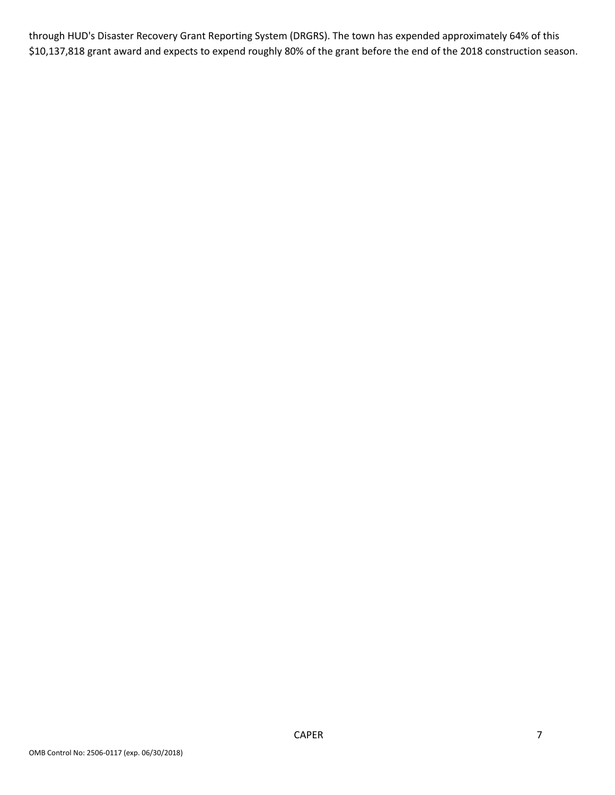through HUD's Disaster Recovery Grant Reporting System (DRGRS). The town has expended approximately 64% of this \$10,137,818 grant award and expects to expend roughly 80% of the grant before the end of the 2018 construction season.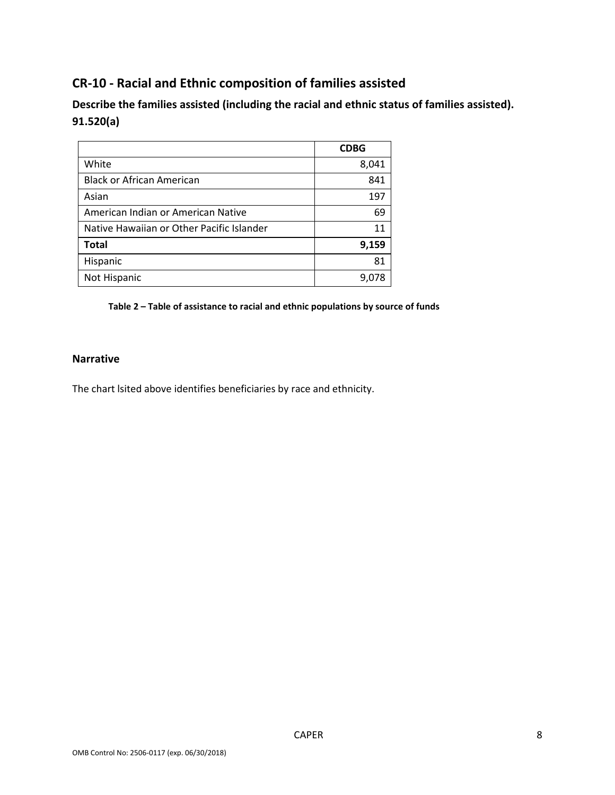## **CR-10 - Racial and Ethnic composition of families assisted**

**Describe the families assisted (including the racial and ethnic status of families assisted). 91.520(a)** 

|                                           | <b>CDBG</b> |
|-------------------------------------------|-------------|
| White                                     | 8,041       |
| <b>Black or African American</b>          | 841         |
| Asian                                     | 197         |
| American Indian or American Native        | 69          |
| Native Hawaiian or Other Pacific Islander | 11          |
| <b>Total</b>                              | 9,159       |
| Hispanic                                  | 81          |
| Not Hispanic                              | 9,078       |

**Table 2 – Table of assistance to racial and ethnic populations by source of funds**

### **Narrative**

The chart lsited above identifies beneficiaries by race and ethnicity.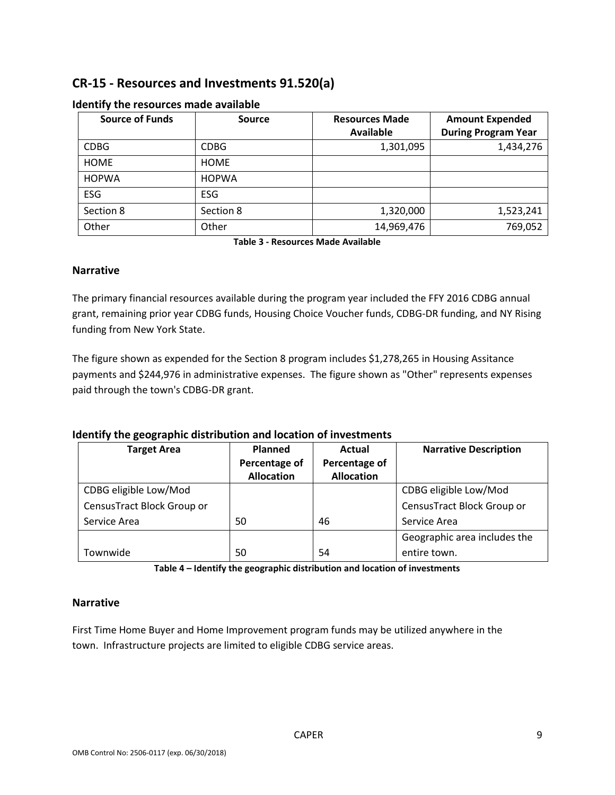## **CR-15 - Resources and Investments 91.520(a)**

| <b>Source of Funds</b> | <b>Source</b> | <b>Resources Made</b> | <b>Amount Expended</b>     |
|------------------------|---------------|-----------------------|----------------------------|
|                        |               | <b>Available</b>      | <b>During Program Year</b> |
| <b>CDBG</b>            | <b>CDBG</b>   | 1,301,095             | 1,434,276                  |
| <b>HOME</b>            | <b>HOME</b>   |                       |                            |
| <b>HOPWA</b>           | <b>HOPWA</b>  |                       |                            |
| <b>ESG</b>             | <b>ESG</b>    |                       |                            |
| Section 8              | Section 8     | 1,320,000             | 1,523,241                  |
| Other                  | Other         | 14,969,476            | 769,052                    |

#### **Identify the resources made available**

**Table 3 - Resources Made Available**

#### **Narrative**

The primary financial resources available during the program year included the FFY 2016 CDBG annual grant, remaining prior year CDBG funds, Housing Choice Voucher funds, CDBG-DR funding, and NY Rising funding from New York State.

The figure shown as expended for the Section 8 program includes \$1,278,265 in Housing Assitance payments and \$244,976 in administrative expenses. The figure shown as "Other" represents expenses paid through the town's CDBG-DR grant.

### **Identify the geographic distribution and location of investments**

| <b>Target Area</b>         | <b>Planned</b><br>Percentage of<br><b>Allocation</b> | Actual<br>Percentage of<br><b>Allocation</b> | <b>Narrative Description</b> |
|----------------------------|------------------------------------------------------|----------------------------------------------|------------------------------|
| CDBG eligible Low/Mod      |                                                      |                                              | CDBG eligible Low/Mod        |
| CensusTract Block Group or |                                                      |                                              | CensusTract Block Group or   |
| Service Area               | 50                                                   | 46                                           | Service Area                 |
|                            |                                                      |                                              | Geographic area includes the |
| Townwide                   | 50                                                   | 54                                           | entire town.                 |

**Table 4 – Identify the geographic distribution and location of investments**

### **Narrative**

First Time Home Buyer and Home Improvement program funds may be utilized anywhere in the town. Infrastructure projects are limited to eligible CDBG service areas.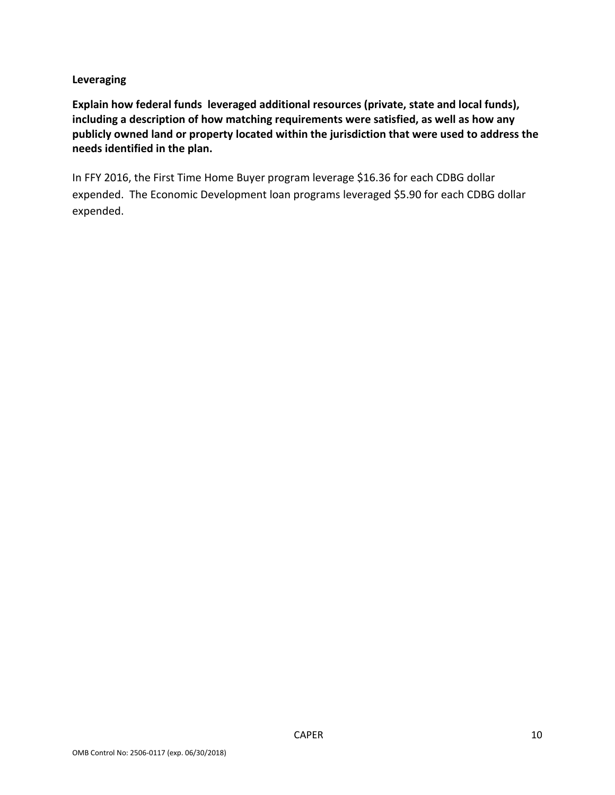### **Leveraging**

**Explain how federal funds leveraged additional resources (private, state and local funds), including a description of how matching requirements were satisfied, as well as how any publicly owned land or property located within the jurisdiction that were used to address the needs identified in the plan.**

In FFY 2016, the First Time Home Buyer program leverage \$16.36 for each CDBG dollar expended. The Economic Development loan programs leveraged \$5.90 for each CDBG dollar expended.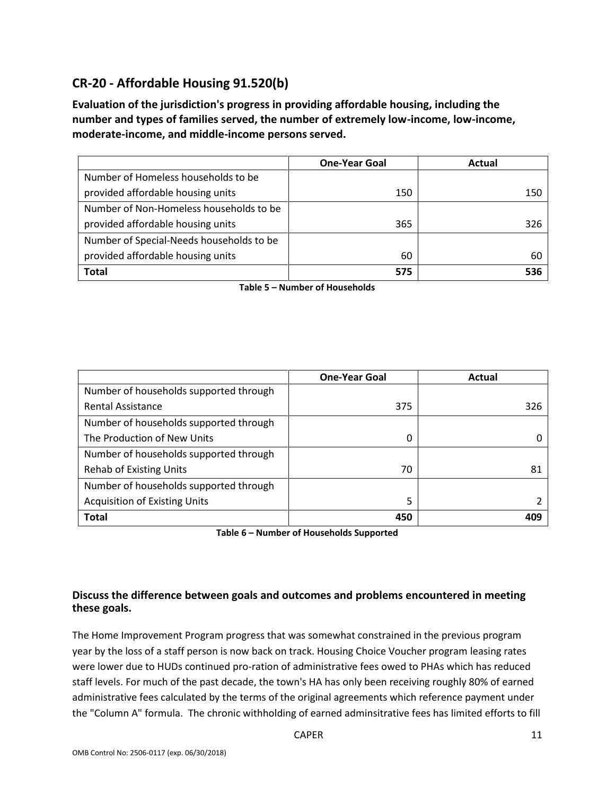## **CR-20 - Affordable Housing 91.520(b)**

**Evaluation of the jurisdiction's progress in providing affordable housing, including the number and types of families served, the number of extremely low-income, low-income, moderate-income, and middle-income persons served.**

|                                          | <b>One-Year Goal</b> | Actual |
|------------------------------------------|----------------------|--------|
| Number of Homeless households to be      |                      |        |
| provided affordable housing units        | 150                  | 150    |
| Number of Non-Homeless households to be  |                      |        |
| provided affordable housing units        | 365                  | 326    |
| Number of Special-Needs households to be |                      |        |
| provided affordable housing units        | 60                   | 60     |
| <b>Total</b>                             | 575                  | 536    |

**Table 5 – Number of Households**

|                                        | <b>One-Year Goal</b> | Actual |
|----------------------------------------|----------------------|--------|
| Number of households supported through |                      |        |
| <b>Rental Assistance</b>               | 375                  | 326    |
| Number of households supported through |                      |        |
| The Production of New Units            | 0                    |        |
| Number of households supported through |                      |        |
| <b>Rehab of Existing Units</b>         | 70                   | 81     |
| Number of households supported through |                      |        |
| <b>Acquisition of Existing Units</b>   | 5                    |        |
| <b>Total</b>                           | 450                  |        |

**Table 6 – Number of Households Supported**

### **Discuss the difference between goals and outcomes and problems encountered in meeting these goals.**

The Home Improvement Program progress that was somewhat constrained in the previous program year by the loss of a staff person is now back on track. Housing Choice Voucher program leasing rates were lower due to HUDs continued pro-ration of administrative fees owed to PHAs which has reduced staff levels. For much of the past decade, the town's HA has only been receiving roughly 80% of earned administrative fees calculated by the terms of the original agreements which reference payment under the "Column A" formula. The chronic withholding of earned adminsitrative fees has limited efforts to fill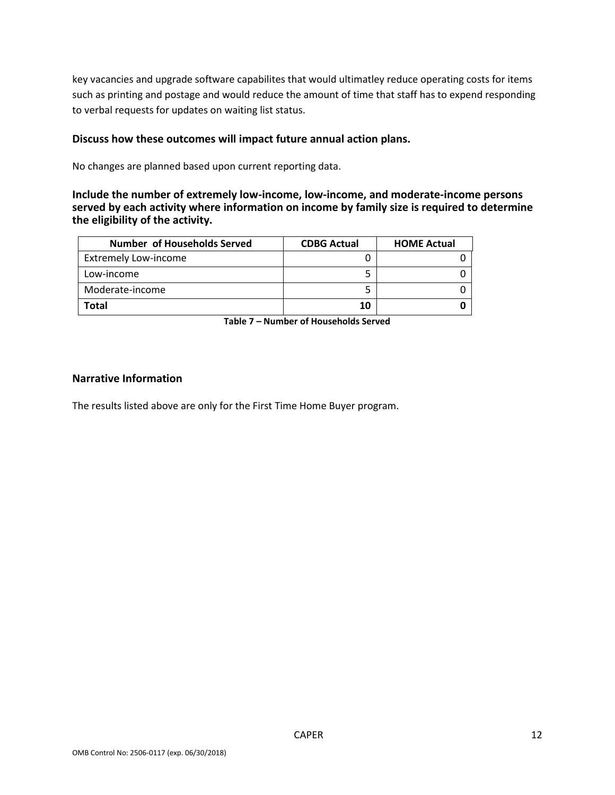key vacancies and upgrade software capabilites that would ultimatley reduce operating costs for items such as printing and postage and would reduce the amount of time that staff has to expend responding to verbal requests for updates on waiting list status.

#### **Discuss how these outcomes will impact future annual action plans.**

No changes are planned based upon current reporting data.

#### **Include the number of extremely low-income, low-income, and moderate-income persons served by each activity where information on income by family size is required to determine the eligibility of the activity.**

| <b>Number of Households Served</b> | <b>CDBG Actual</b> | <b>HOME Actual</b> |
|------------------------------------|--------------------|--------------------|
| <b>Extremely Low-income</b>        |                    |                    |
| Low-income                         |                    |                    |
| Moderate-income                    |                    |                    |
| Total                              | 10                 |                    |

**Table 7 – Number of Households Served**

#### **Narrative Information**

The results listed above are only for the First Time Home Buyer program.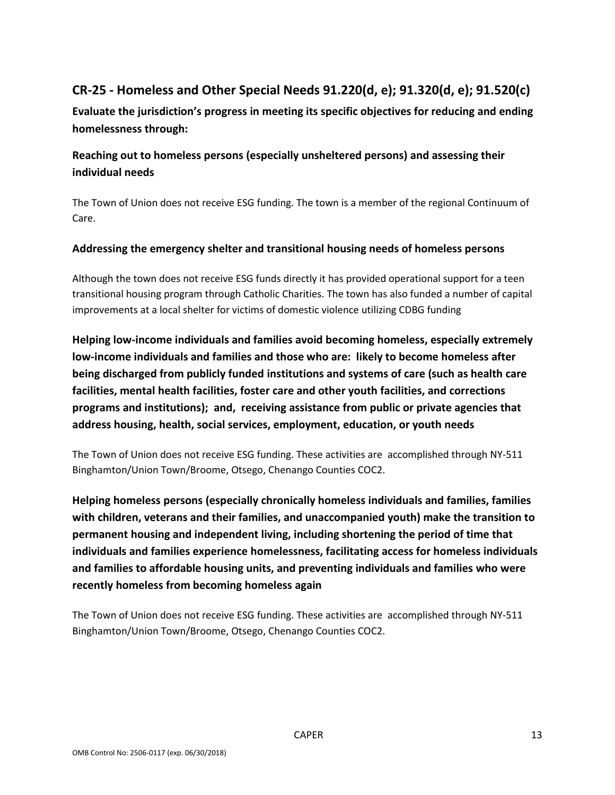## **CR-25 - Homeless and Other Special Needs 91.220(d, e); 91.320(d, e); 91.520(c)**

**Evaluate the jurisdiction's progress in meeting its specific objectives for reducing and ending homelessness through:**

## **Reaching out to homeless persons (especially unsheltered persons) and assessing their individual needs**

The Town of Union does not receive ESG funding. The town is a member of the regional Continuum of Care.

### **Addressing the emergency shelter and transitional housing needs of homeless persons**

Although the town does not receive ESG funds directly it has provided operational support for a teen transitional housing program through Catholic Charities. The town has also funded a number of capital improvements at a local shelter for victims of domestic violence utilizing CDBG funding

**Helping low-income individuals and families avoid becoming homeless, especially extremely low-income individuals and families and those who are: likely to become homeless after being discharged from publicly funded institutions and systems of care (such as health care facilities, mental health facilities, foster care and other youth facilities, and corrections programs and institutions); and, receiving assistance from public or private agencies that address housing, health, social services, employment, education, or youth needs**

The Town of Union does not receive ESG funding. These activities are accomplished through NY-511 Binghamton/Union Town/Broome, Otsego, Chenango Counties COC2.

**Helping homeless persons (especially chronically homeless individuals and families, families with children, veterans and their families, and unaccompanied youth) make the transition to permanent housing and independent living, including shortening the period of time that individuals and families experience homelessness, facilitating access for homeless individuals and families to affordable housing units, and preventing individuals and families who were recently homeless from becoming homeless again**

The Town of Union does not receive ESG funding. These activities are accomplished through NY-511 Binghamton/Union Town/Broome, Otsego, Chenango Counties COC2.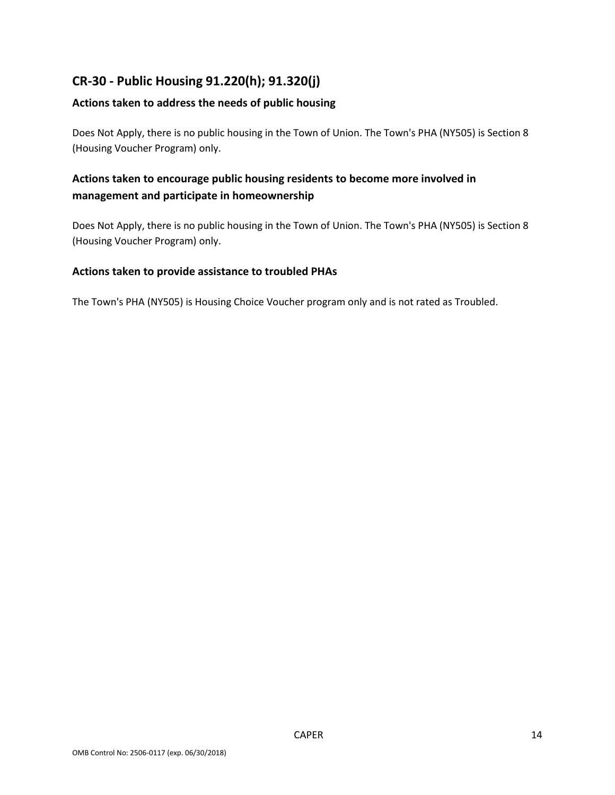## **CR-30 - Public Housing 91.220(h); 91.320(j)**

### **Actions taken to address the needs of public housing**

Does Not Apply, there is no public housing in the Town of Union. The Town's PHA (NY505) is Section 8 (Housing Voucher Program) only.

## **Actions taken to encourage public housing residents to become more involved in management and participate in homeownership**

Does Not Apply, there is no public housing in the Town of Union. The Town's PHA (NY505) is Section 8 (Housing Voucher Program) only.

### **Actions taken to provide assistance to troubled PHAs**

The Town's PHA (NY505) is Housing Choice Voucher program only and is not rated as Troubled.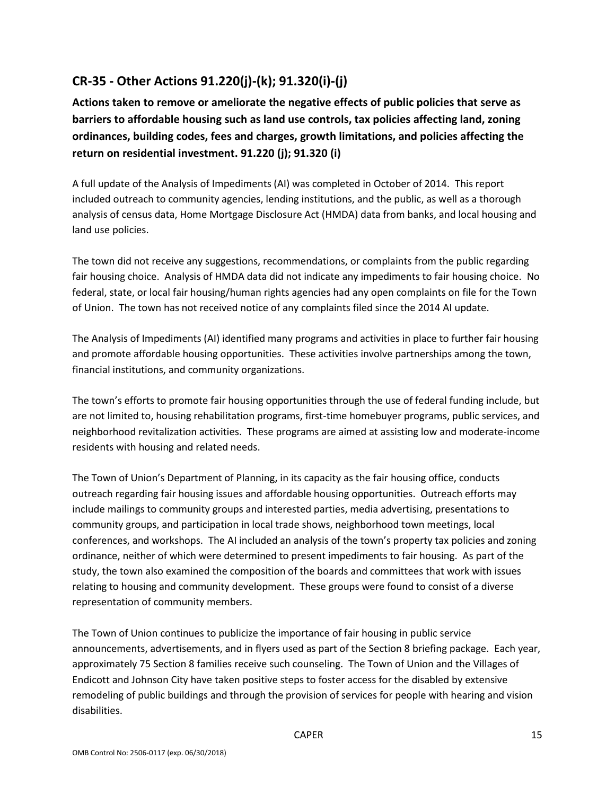## **CR-35 - Other Actions 91.220(j)-(k); 91.320(i)-(j)**

**Actions taken to remove or ameliorate the negative effects of public policies that serve as barriers to affordable housing such as land use controls, tax policies affecting land, zoning ordinances, building codes, fees and charges, growth limitations, and policies affecting the return on residential investment. 91.220 (j); 91.320 (i)**

A full update of the Analysis of Impediments (AI) was completed in October of 2014. This report included outreach to community agencies, lending institutions, and the public, as well as a thorough analysis of census data, Home Mortgage Disclosure Act (HMDA) data from banks, and local housing and land use policies.

The town did not receive any suggestions, recommendations, or complaints from the public regarding fair housing choice. Analysis of HMDA data did not indicate any impediments to fair housing choice. No federal, state, or local fair housing/human rights agencies had any open complaints on file for the Town of Union. The town has not received notice of any complaints filed since the 2014 AI update.

The Analysis of Impediments (AI) identified many programs and activities in place to further fair housing and promote affordable housing opportunities. These activities involve partnerships among the town, financial institutions, and community organizations.

The town's efforts to promote fair housing opportunities through the use of federal funding include, but are not limited to, housing rehabilitation programs, first-time homebuyer programs, public services, and neighborhood revitalization activities. These programs are aimed at assisting low and moderate-income residents with housing and related needs.

The Town of Union's Department of Planning, in its capacity as the fair housing office, conducts outreach regarding fair housing issues and affordable housing opportunities. Outreach efforts may include mailings to community groups and interested parties, media advertising, presentations to community groups, and participation in local trade shows, neighborhood town meetings, local conferences, and workshops. The AI included an analysis of the town's property tax policies and zoning ordinance, neither of which were determined to present impediments to fair housing. As part of the study, the town also examined the composition of the boards and committees that work with issues relating to housing and community development. These groups were found to consist of a diverse representation of community members.

The Town of Union continues to publicize the importance of fair housing in public service announcements, advertisements, and in flyers used as part of the Section 8 briefing package. Each year, approximately 75 Section 8 families receive such counseling. The Town of Union and the Villages of Endicott and Johnson City have taken positive steps to foster access for the disabled by extensive remodeling of public buildings and through the provision of services for people with hearing and vision disabilities.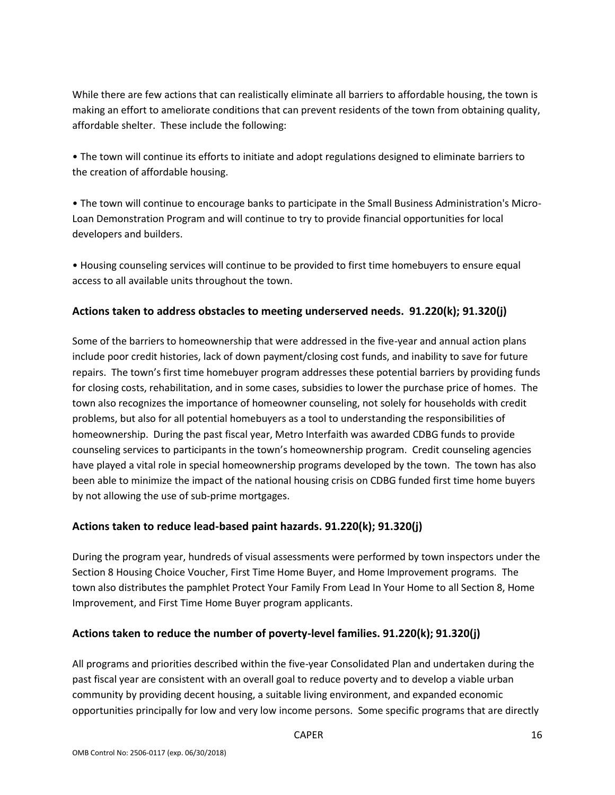While there are few actions that can realistically eliminate all barriers to affordable housing, the town is making an effort to ameliorate conditions that can prevent residents of the town from obtaining quality, affordable shelter. These include the following:

• The town will continue its efforts to initiate and adopt regulations designed to eliminate barriers to the creation of affordable housing.

• The town will continue to encourage banks to participate in the Small Business Administration's Micro-Loan Demonstration Program and will continue to try to provide financial opportunities for local developers and builders.

• Housing counseling services will continue to be provided to first time homebuyers to ensure equal access to all available units throughout the town.

### **Actions taken to address obstacles to meeting underserved needs. 91.220(k); 91.320(j)**

Some of the barriers to homeownership that were addressed in the five-year and annual action plans include poor credit histories, lack of down payment/closing cost funds, and inability to save for future repairs. The town's first time homebuyer program addresses these potential barriers by providing funds for closing costs, rehabilitation, and in some cases, subsidies to lower the purchase price of homes. The town also recognizes the importance of homeowner counseling, not solely for households with credit problems, but also for all potential homebuyers as a tool to understanding the responsibilities of homeownership. During the past fiscal year, Metro Interfaith was awarded CDBG funds to provide counseling services to participants in the town's homeownership program. Credit counseling agencies have played a vital role in special homeownership programs developed by the town. The town has also been able to minimize the impact of the national housing crisis on CDBG funded first time home buyers by not allowing the use of sub-prime mortgages.

### **Actions taken to reduce lead-based paint hazards. 91.220(k); 91.320(j)**

During the program year, hundreds of visual assessments were performed by town inspectors under the Section 8 Housing Choice Voucher, First Time Home Buyer, and Home Improvement programs. The town also distributes the pamphlet Protect Your Family From Lead In Your Home to all Section 8, Home Improvement, and First Time Home Buyer program applicants.

### **Actions taken to reduce the number of poverty-level families. 91.220(k); 91.320(j)**

All programs and priorities described within the five-year Consolidated Plan and undertaken during the past fiscal year are consistent with an overall goal to reduce poverty and to develop a viable urban community by providing decent housing, a suitable living environment, and expanded economic opportunities principally for low and very low income persons. Some specific programs that are directly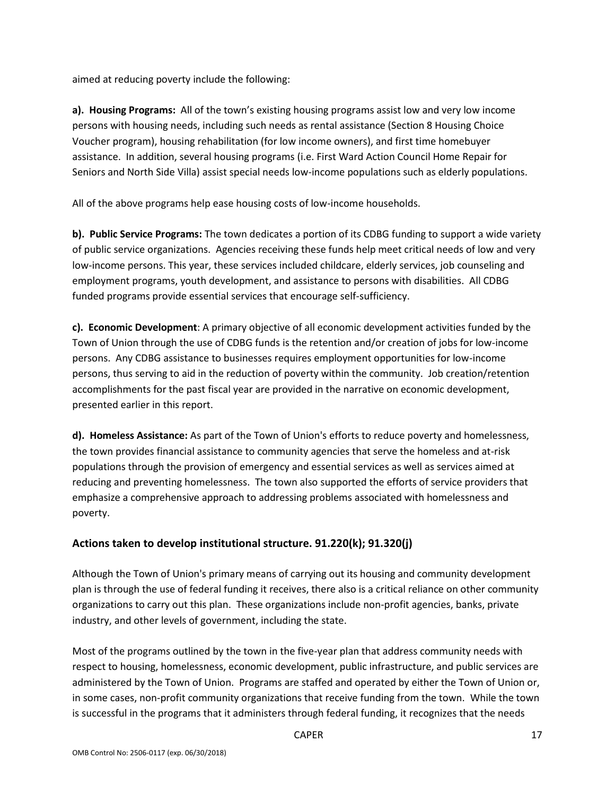aimed at reducing poverty include the following:

**a). Housing Programs:** All of the town's existing housing programs assist low and very low income persons with housing needs, including such needs as rental assistance (Section 8 Housing Choice Voucher program), housing rehabilitation (for low income owners), and first time homebuyer assistance. In addition, several housing programs (i.e. First Ward Action Council Home Repair for Seniors and North Side Villa) assist special needs low-income populations such as elderly populations.

All of the above programs help ease housing costs of low-income households.

**b). Public Service Programs:** The town dedicates a portion of its CDBG funding to support a wide variety of public service organizations. Agencies receiving these funds help meet critical needs of low and very low-income persons. This year, these services included childcare, elderly services, job counseling and employment programs, youth development, and assistance to persons with disabilities. All CDBG funded programs provide essential services that encourage self-sufficiency.

**c). Economic Development**: A primary objective of all economic development activities funded by the Town of Union through the use of CDBG funds is the retention and/or creation of jobs for low-income persons. Any CDBG assistance to businesses requires employment opportunities for low-income persons, thus serving to aid in the reduction of poverty within the community. Job creation/retention accomplishments for the past fiscal year are provided in the narrative on economic development, presented earlier in this report.

**d). Homeless Assistance:** As part of the Town of Union's efforts to reduce poverty and homelessness, the town provides financial assistance to community agencies that serve the homeless and at-risk populations through the provision of emergency and essential services as well as services aimed at reducing and preventing homelessness. The town also supported the efforts of service providers that emphasize a comprehensive approach to addressing problems associated with homelessness and poverty.

## **Actions taken to develop institutional structure. 91.220(k); 91.320(j)**

Although the Town of Union's primary means of carrying out its housing and community development plan is through the use of federal funding it receives, there also is a critical reliance on other community organizations to carry out this plan. These organizations include non-profit agencies, banks, private industry, and other levels of government, including the state.

Most of the programs outlined by the town in the five-year plan that address community needs with respect to housing, homelessness, economic development, public infrastructure, and public services are administered by the Town of Union. Programs are staffed and operated by either the Town of Union or, in some cases, non-profit community organizations that receive funding from the town. While the town is successful in the programs that it administers through federal funding, it recognizes that the needs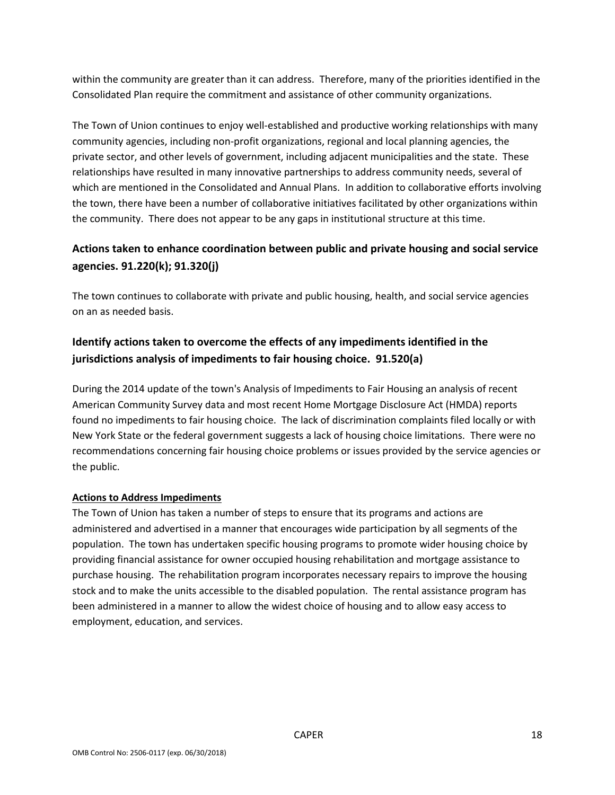within the community are greater than it can address. Therefore, many of the priorities identified in the Consolidated Plan require the commitment and assistance of other community organizations.

The Town of Union continues to enjoy well-established and productive working relationships with many community agencies, including non-profit organizations, regional and local planning agencies, the private sector, and other levels of government, including adjacent municipalities and the state. These relationships have resulted in many innovative partnerships to address community needs, several of which are mentioned in the Consolidated and Annual Plans. In addition to collaborative efforts involving the town, there have been a number of collaborative initiatives facilitated by other organizations within the community. There does not appear to be any gaps in institutional structure at this time.

## **Actions taken to enhance coordination between public and private housing and social service agencies. 91.220(k); 91.320(j)**

The town continues to collaborate with private and public housing, health, and social service agencies on an as needed basis.

## **Identify actions taken to overcome the effects of any impediments identified in the jurisdictions analysis of impediments to fair housing choice. 91.520(a)**

During the 2014 update of the town's Analysis of Impediments to Fair Housing an analysis of recent American Community Survey data and most recent Home Mortgage Disclosure Act (HMDA) reports found no impediments to fair housing choice. The lack of discrimination complaints filed locally or with New York State or the federal government suggests a lack of housing choice limitations. There were no recommendations concerning fair housing choice problems or issues provided by the service agencies or the public.

### **Actions to Address Impediments**

The Town of Union has taken a number of steps to ensure that its programs and actions are administered and advertised in a manner that encourages wide participation by all segments of the population. The town has undertaken specific housing programs to promote wider housing choice by providing financial assistance for owner occupied housing rehabilitation and mortgage assistance to purchase housing. The rehabilitation program incorporates necessary repairs to improve the housing stock and to make the units accessible to the disabled population. The rental assistance program has been administered in a manner to allow the widest choice of housing and to allow easy access to employment, education, and services.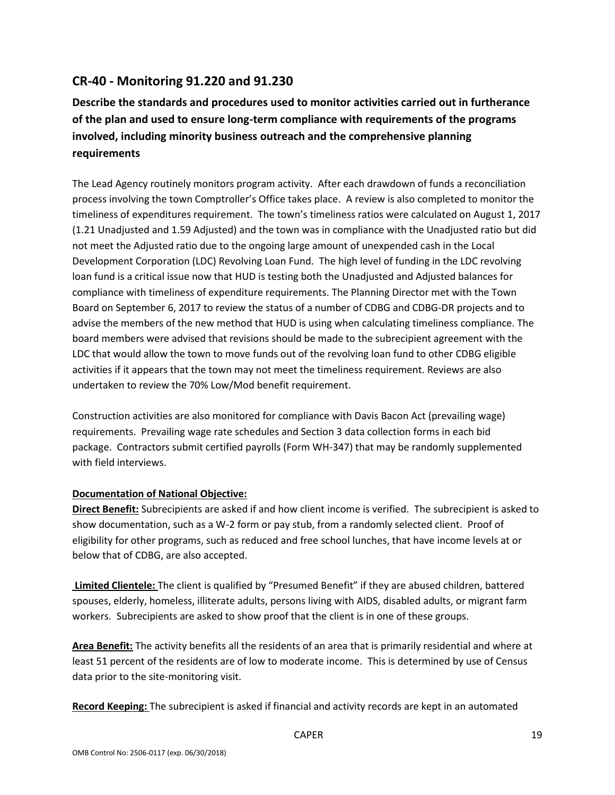## **CR-40 - Monitoring 91.220 and 91.230**

**Describe the standards and procedures used to monitor activities carried out in furtherance of the plan and used to ensure long-term compliance with requirements of the programs involved, including minority business outreach and the comprehensive planning requirements**

The Lead Agency routinely monitors program activity. After each drawdown of funds a reconciliation process involving the town Comptroller's Office takes place. A review is also completed to monitor the timeliness of expenditures requirement. The town's timeliness ratios were calculated on August 1, 2017 (1.21 Unadjusted and 1.59 Adjusted) and the town was in compliance with the Unadjusted ratio but did not meet the Adjusted ratio due to the ongoing large amount of unexpended cash in the Local Development Corporation (LDC) Revolving Loan Fund. The high level of funding in the LDC revolving loan fund is a critical issue now that HUD is testing both the Unadjusted and Adjusted balances for compliance with timeliness of expenditure requirements. The Planning Director met with the Town Board on September 6, 2017 to review the status of a number of CDBG and CDBG-DR projects and to advise the members of the new method that HUD is using when calculating timeliness compliance. The board members were advised that revisions should be made to the subrecipient agreement with the LDC that would allow the town to move funds out of the revolving loan fund to other CDBG eligible activities if it appears that the town may not meet the timeliness requirement. Reviews are also undertaken to review the 70% Low/Mod benefit requirement.

Construction activities are also monitored for compliance with Davis Bacon Act (prevailing wage) requirements. Prevailing wage rate schedules and Section 3 data collection forms in each bid package. Contractors submit certified payrolls (Form WH-347) that may be randomly supplemented with field interviews.

### **Documentation of National Objective:**

**Direct Benefit:** Subrecipients are asked if and how client income is verified. The subrecipient is asked to show documentation, such as a W-2 form or pay stub, from a randomly selected client. Proof of eligibility for other programs, such as reduced and free school lunches, that have income levels at or below that of CDBG, are also accepted.

**Limited Clientele:** The client is qualified by "Presumed Benefit" if they are abused children, battered spouses, elderly, homeless, illiterate adults, persons living with AIDS, disabled adults, or migrant farm workers. Subrecipients are asked to show proof that the client is in one of these groups.

**Area Benefit:** The activity benefits all the residents of an area that is primarily residential and where at least 51 percent of the residents are of low to moderate income. This is determined by use of Census data prior to the site-monitoring visit.

**Record Keeping:** The subrecipient is asked if financial and activity records are kept in an automated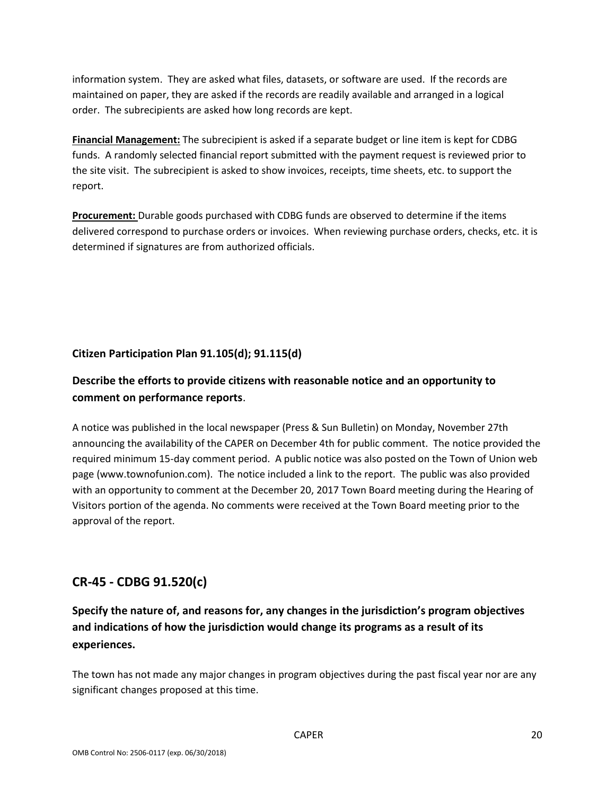information system. They are asked what files, datasets, or software are used. If the records are maintained on paper, they are asked if the records are readily available and arranged in a logical order. The subrecipients are asked how long records are kept.

**Financial Management:** The subrecipient is asked if a separate budget or line item is kept for CDBG funds. A randomly selected financial report submitted with the payment request is reviewed prior to the site visit. The subrecipient is asked to show invoices, receipts, time sheets, etc. to support the report.

**Procurement:** Durable goods purchased with CDBG funds are observed to determine if the items delivered correspond to purchase orders or invoices. When reviewing purchase orders, checks, etc. it is determined if signatures are from authorized officials.

## **Citizen Participation Plan 91.105(d); 91.115(d)**

## **Describe the efforts to provide citizens with reasonable notice and an opportunity to comment on performance reports**.

A notice was published in the local newspaper (Press & Sun Bulletin) on Monday, November 27th announcing the availability of the CAPER on December 4th for public comment. The notice provided the required minimum 15-day comment period. A public notice was also posted on the Town of Union web page (www.townofunion.com). The notice included a link to the report. The public was also provided with an opportunity to comment at the December 20, 2017 Town Board meeting during the Hearing of Visitors portion of the agenda. No comments were received at the Town Board meeting prior to the approval of the report.

## **CR-45 - CDBG 91.520(c)**

## **Specify the nature of, and reasons for, any changes in the jurisdiction's program objectives and indications of how the jurisdiction would change its programs as a result of its experiences.**

The town has not made any major changes in program objectives during the past fiscal year nor are any significant changes proposed at this time.